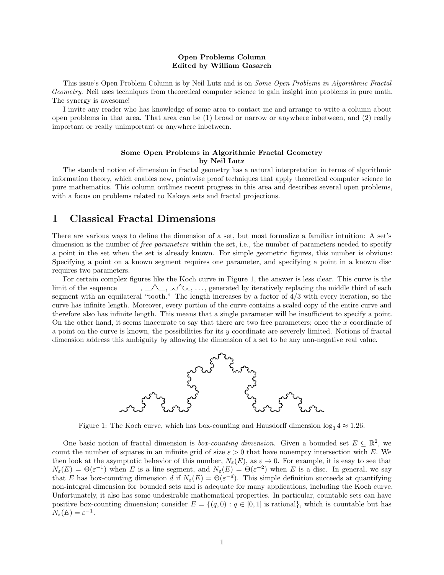#### Open Problems Column Edited by William Gasarch

This issue's Open Problem Column is by Neil Lutz and is on Some Open Problems in Algorithmic Fractal Geometry. Neil uses techniques from theoretical computer science to gain insight into problems in pure math. The synergy is awesome!

I invite any reader who has knowledge of some area to contact me and arrange to write a column about open problems in that area. That area can be (1) broad or narrow or anywhere inbetween, and (2) really important or really unimportant or anywhere inbetween.

#### Some Open Problems in Algorithmic Fractal Geometry by Neil Lutz

The standard notion of dimension in fractal geometry has a natural interpretation in terms of algorithmic information theory, which enables new, pointwise proof techniques that apply theoretical computer science to pure mathematics. This column outlines recent progress in this area and describes several open problems, with a focus on problems related to Kakeya sets and fractal projections.

# 1 Classical Fractal Dimensions

There are various ways to define the dimension of a set, but most formalize a familiar intuition: A set's dimension is the number of *free parameters* within the set, i.e., the number of parameters needed to specify a point in the set when the set is already known. For simple geometric figures, this number is obvious: Specifying a point on a known segment requires one parameter, and specifying a point in a known disc requires two parameters.

For certain complex figures like the Koch curve in Figure 1, the answer is less clear. This curve is the limit of the sequence  $\_\_\_\,,\_\_\_\,\_\_\,\_\,\_\_\,,\ldots$ , generated by iteratively replacing the middle third of each segment with an equilateral "tooth." The length increases by a factor of 4/3 with every iteration, so the curve has infinite length. Moreover, every portion of the curve contains a scaled copy of the entire curve and therefore also has infinite length. This means that a single parameter will be insufficient to specify a point. On the other hand, it seems inaccurate to say that there are two free parameters; once the x coordinate of a point on the curve is known, the possibilities for its  $y$  coordinate are severely limited. Notions of fractal dimension address this ambiguity by allowing the dimension of a set to be any non-negative real value.



Figure 1: The Koch curve, which has box-counting and Hausdorff dimension  $\log_3 4 \approx 1.26$ .

One basic notion of fractal dimension is *box-counting dimension*. Given a bounded set  $E \subseteq \mathbb{R}^2$ , we count the number of squares in an infinite grid of size  $\varepsilon > 0$  that have nonempty intersection with E. We then look at the asymptotic behavior of this number,  $N_{\varepsilon}(E)$ , as  $\varepsilon \to 0$ . For example, it is easy to see that  $N_{\varepsilon}(E) = \Theta(\varepsilon^{-1})$  when E is a line segment, and  $N_{\varepsilon}(E) = \Theta(\varepsilon^{-2})$  when E is a disc. In general, we say that E has box-counting dimension d if  $N_{\varepsilon}(E) = \Theta(\varepsilon^{-d})$ . This simple definition succeeds at quantifying non-integral dimension for bounded sets and is adequate for many applications, including the Koch curve. Unfortunately, it also has some undesirable mathematical properties. In particular, countable sets can have positive box-counting dimension; consider  $E = \{(q, 0) : q \in [0, 1]$  is rational, which is countable but has  $N_{\varepsilon}(E) = \varepsilon^{-1}.$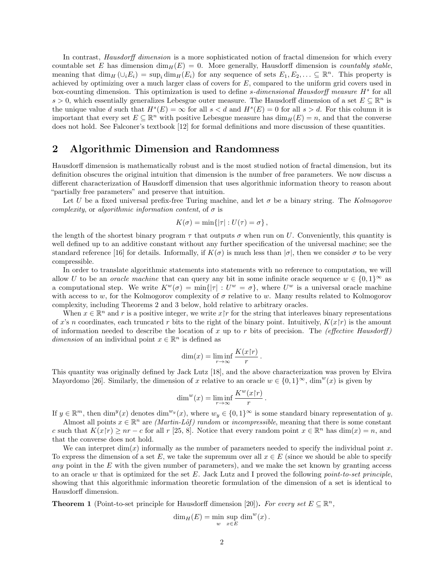In contrast, *Hausdorff dimension* is a more sophisticated notion of fractal dimension for which every countable set E has dimension  $\dim_H(E) = 0$ . More generally, Hausdorff dimension is *countably stable*, meaning that  $\dim_H(\cup_i E_i) = \sup_i \dim_H(E_i)$  for any sequence of sets  $E_1, E_2, \ldots \subseteq \mathbb{R}^n$ . This property is achieved by optimizing over a much larger class of covers for  $E$ , compared to the uniform grid covers used in box-counting dimension. This optimization is used to define  $s$ -dimensional Hausdorff measure  $H<sup>s</sup>$  for all s > 0, which essentially generalizes Lebesgue outer measure. The Hausdorff dimension of a set  $E \subseteq \mathbb{R}^n$  is the unique value d such that  $H^s(E) = \infty$  for all  $s < d$  and  $H^s(E) = 0$  for all  $s > d$ . For this column it is important that every set  $E \subseteq \mathbb{R}^n$  with positive Lebesgue measure has  $\dim_H(E) = n$ , and that the converse does not hold. See Falconer's textbook [12] for formal definitions and more discussion of these quantities.

## 2 Algorithmic Dimension and Randomness

Hausdorff dimension is mathematically robust and is the most studied notion of fractal dimension, but its definition obscures the original intuition that dimension is the number of free parameters. We now discuss a different characterization of Hausdorff dimension that uses algorithmic information theory to reason about "partially free parameters" and preserve that intuition.

Let U be a fixed universal prefix-free Turing machine, and let  $\sigma$  be a binary string. The Kolmogorov complexity, or algorithmic information content, of  $\sigma$  is

$$
K(\sigma) = \min\{|\tau| : U(\tau) = \sigma\},\,
$$

the length of the shortest binary program  $\tau$  that outputs  $\sigma$  when run on U. Conveniently, this quantity is well defined up to an additive constant without any further specification of the universal machine; see the standard reference [16] for details. Informally, if  $K(\sigma)$  is much less than  $|\sigma|$ , then we consider  $\sigma$  to be very compressible.

In order to translate algorithmic statements into statements with no reference to computation, we will allow U to be an *oracle machine* that can query any bit in some infinite oracle sequence  $w \in \{0,1\}^{\infty}$  as a computational step. We write  $K^w(\sigma) = \min\{|\tau| : U^w = \sigma\}$ , where  $U^w$  is a universal oracle machine with access to w, for the Kolmogorov complexity of  $\sigma$  relative to w. Many results related to Kolmogorov complexity, including Theorems 2 and 3 below, hold relative to arbitrary oracles.

When  $x \in \mathbb{R}^n$  and r is a positive integer, we write  $x \upharpoonright r$  for the string that interleaves binary representations of x's n coordinates, each truncated r bits to the right of the binary point. Intuitively,  $K(x\gamma)$  is the amount of information needed to describe the location of x up to r bits of precision. The (effective Hausdorff) dimension of an individual point  $x \in \mathbb{R}^n$  is defined as

$$
\dim(x) = \liminf_{r \to \infty} \frac{K(x \restriction r)}{r}.
$$

This quantity was originally defined by Jack Lutz [18], and the above characterization was proven by Elvira Mayordomo [26]. Similarly, the dimension of x relative to an oracle  $w \in \{0,1\}^{\infty}$ , dim<sup>w</sup>(x) is given by

$$
\dim^w(x) = \liminf_{r \to \infty} \frac{K^w(x \restriction r)}{r}.
$$

If  $y \in \mathbb{R}^m$ , then  $\dim^y(x)$  denotes  $\dim^{w_y}(x)$ , where  $w_y \in \{0,1\}^\infty$  is some standard binary representation of y.

Almost all points  $x \in \mathbb{R}^n$  are *(Martin-Löf)* random or *incompressible*, meaning that there is some constant c such that  $K(x\upharpoonright r) \ge nr - c$  for all r [25, 8]. Notice that every random point  $x \in \mathbb{R}^n$  has  $\dim(x) = n$ , and that the converse does not hold.

We can interpret  $\dim(x)$  informally as the number of parameters needed to specify the individual point x. To express the dimension of a set E, we take the supremum over all  $x \in E$  (since we should be able to specify any point in the  $E$  with the given number of parameters), and we make the set known by granting access to an oracle  $w$  that is optimized for the set  $E$ . Jack Lutz and I proved the following *point-to-set principle*, showing that this algorithmic information theoretic formulation of the dimension of a set is identical to Hausdorff dimension.

**Theorem 1** (Point-to-set principle for Hausdorff dimension [20]). For every set  $E \subseteq \mathbb{R}^n$ ,

$$
\dim_H(E) = \min_{w} \sup_{x \in E} \dim^w(x).
$$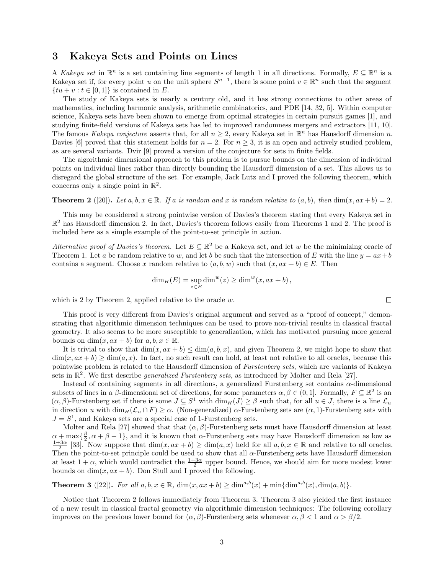### 3 Kakeya Sets and Points on Lines

A Kakeya set in  $\mathbb{R}^n$  is a set containing line segments of length 1 in all directions. Formally,  $E \subseteq \mathbb{R}^n$  is a Kakeya set if, for every point u on the unit sphere  $S^{n-1}$ , there is some point  $v \in \mathbb{R}^n$  such that the segment  $\{tu + v : t \in [0,1]\}\$ is contained in E.

The study of Kakeya sets is nearly a century old, and it has strong connections to other areas of mathematics, including harmonic analysis, arithmetic combinatorics, and PDE [14, 32, 5]. Within computer science, Kakeya sets have been shown to emerge from optimal strategies in certain pursuit games [1], and studying finite-field versions of Kakeya sets has led to improved randomness mergers and extractors [11, 10]. The famous Kakeya conjecture asserts that, for all  $n \geq 2$ , every Kakeya set in  $\mathbb{R}^n$  has Hausdorff dimension n. Davies [6] proved that this statement holds for  $n = 2$ . For  $n \geq 3$ , it is an open and actively studied problem, as are several variants. Dvir [9] proved a version of the conjecture for sets in finite fields.

The algorithmic dimensional approach to this problem is to pursue bounds on the dimension of individual points on individual lines rather than directly bounding the Hausdorff dimension of a set. This allows us to disregard the global structure of the set. For example, Jack Lutz and I proved the following theorem, which concerns only a single point in  $\mathbb{R}^2$ .

**Theorem 2** ([20]). Let a, b,  $x \in \mathbb{R}$ . If a is random and x is random relative to  $(a, b)$ , then  $\dim(x, ax + b) = 2$ .

This may be considered a strong pointwise version of Davies's theorem stating that every Kakeya set in  $\mathbb{R}^2$  has Hausdorff dimension 2. In fact, Davies's theorem follows easily from Theorems 1 and 2. The proof is included here as a simple example of the point-to-set principle in action.

Alternative proof of Davies's theorem. Let  $E \subseteq \mathbb{R}^2$  be a Kakeya set, and let w be the minimizing oracle of Theorem 1. Let a be random relative to w, and let b be such that the intersection of E with the line  $y = ax + b$ contains a segment. Choose x random relative to  $(a, b, w)$  such that  $(x, ax + b) \in E$ . Then

$$
\dim_H(E) = \sup_{z \in E} \dim^w(z) \ge \dim^w(x, ax + b),
$$

which is 2 by Theorem 2, applied relative to the oracle  $w$ .

This proof is very different from Davies's original argument and served as a "proof of concept," demonstrating that algorithmic dimension techniques can be used to prove non-trivial results in classical fractal geometry. It also seems to be more susceptible to generalization, which has motivated pursuing more general bounds on  $\dim(x, ax + b)$  for  $a, b, x \in \mathbb{R}$ .

It is trivial to show that  $\dim(x, ax + b) \leq \dim(a, b, x)$ , and given Theorem 2, we might hope to show that  $\dim(x, ax + b) \geq \dim(a, x)$ . In fact, no such result can hold, at least not relative to all oracles, because this pointwise problem is related to the Hausdorff dimension of Furstenberg sets, which are variants of Kakeya sets in  $\mathbb{R}^2$ . We first describe *generalized Furstenberg sets*, as introduced by Molter and Rela [27].

Instead of containing segments in all directions, a generalized Furstenberg set contains  $\alpha$ -dimensional subsets of lines in a  $\beta$ -dimensional set of directions, for some parameters  $\alpha, \beta \in (0, 1]$ . Formally,  $F \subseteq \mathbb{R}^2$  is an  $(\alpha, \beta)$ -Furstenberg set if there is some  $J \subseteq S^1$  with  $\dim_H(J) \geq \beta$  such that, for all  $u \in J$ , there is a line  $\mathcal{L}_u$ in direction u with  $\dim_H(\mathcal{L}_u \cap F) \geq \alpha$ . (Non-generalized)  $\alpha$ -Furstenberg sets are  $(\alpha, 1)$ -Furstenberg sets with  $J = S<sup>1</sup>$ , and Kakeya sets are a special case of 1-Furstenberg sets.

Molter and Rela [27] showed that that  $(\alpha, \beta)$ -Furstenberg sets must have Hausdorff dimension at least  $\alpha + \max{\frac{\beta}{2}}, \alpha + \beta - 1$ , and it is known that  $\alpha$ -Furstenberg sets may have Hausdorff dimension as low as  $\frac{1+3\alpha}{2}$  [33]. Now suppose that  $\dim(x, ax + b) \ge \dim(a, x)$  held for all  $a, b, x \in \mathbb{R}$  and relative to all oracles. Then the point-to-set principle could be used to show that all  $\alpha$ -Furstenberg sets have Hausdorff dimension at least  $1 + \alpha$ , which would contradict the  $\frac{1+3\alpha}{2}$  upper bound. Hence, we should aim for more modest lower bounds on  $\dim(x, ax + b)$ . Don Stull and I proved the following.

**Theorem 3** ([22]). For all  $a, b, x \in \mathbb{R}$ ,  $\dim(x, ax + b) \ge \dim^{a,b}(x) + \min{\dim^{a,b}(x), \dim(a, b)}$ .

Notice that Theorem 2 follows immediately from Theorem 3. Theorem 3 also yielded the first instance of a new result in classical fractal geometry via algorithmic dimension techniques: The following corollary improves on the previous lower bound for  $(\alpha, \beta)$ -Furstenberg sets whenever  $\alpha, \beta < 1$  and  $\alpha > \beta/2$ .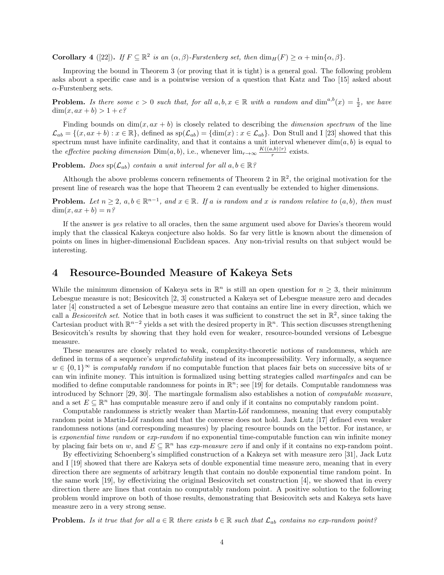**Corollary** 4 ([22]). If  $F \subseteq \mathbb{R}^2$  is an  $(\alpha, \beta)$ -Furstenberg set, then  $\dim_H(F) \ge \alpha + \min\{\alpha, \beta\}.$ 

Improving the bound in Theorem 3 (or proving that it is tight) is a general goal. The following problem asks about a specific case and is a pointwise version of a question that Katz and Tao [15] asked about  $\alpha$ -Furstenberg sets.

**Problem.** Is there some  $c > 0$  such that, for all  $a, b, x \in \mathbb{R}$  with a random and  $\dim^{a,b}(x) = \frac{1}{2}$ , we have  $\dim(x, ax + b) > 1 + c$ ?

Finding bounds on  $\dim(x, ax + b)$  is closely related to describing the *dimension spectrum* of the line  $\mathcal{L}_{ab} = \{(x, ax + b) : x \in \mathbb{R}\},\$ defined as  $sp(\mathcal{L}_{ab}) = \{dim(x) : x \in \mathcal{L}_{ab}\}.$  Don Stull and I [23] showed that this spectrum must have infinite cardinality, and that it contains a unit interval whenever  $\dim(a, b)$  is equal to the *effective packing dimension* Dim(a, b), i.e., whenever  $\lim_{r\to\infty} \frac{K((a,b)\upharpoonright r)}{r}$  $\frac{(n-1)(n-1)}{r}$  exists.

**Problem.** Does  $sp(\mathcal{L}_{ab})$  contain a unit interval for all  $a, b \in \mathbb{R}$ ?

Although the above problems concern refinements of Theorem 2 in  $\mathbb{R}^2$ , the original motivation for the present line of research was the hope that Theorem 2 can eventually be extended to higher dimensions.

**Problem.** Let  $n \geq 2$ ,  $a, b \in \mathbb{R}^{n-1}$ , and  $x \in \mathbb{R}$ . If a is random and x is random relative to  $(a, b)$ , then must  $\dim(x, ax + b) = n^{\circ}$ 

If the answer is yes relative to all oracles, then the same argument used above for Davies's theorem would imply that the classical Kakeya conjecture also holds. So far very little is known about the dimension of points on lines in higher-dimensional Euclidean spaces. Any non-trivial results on that subject would be interesting.

## 4 Resource-Bounded Measure of Kakeya Sets

While the minimum dimension of Kakeya sets in  $\mathbb{R}^n$  is still an open question for  $n \geq 3$ , their minimum Lebesgue measure is not; Besicovitch [2, 3] constructed a Kakeya set of Lebesgue measure zero and decades later [4] constructed a set of Lebesgue measure zero that contains an entire line in every direction, which we call a *Besicovitch set*. Notice that in both cases it was sufficient to construct the set in  $\mathbb{R}^2$ , since taking the Cartesian product with  $\mathbb{R}^{n-2}$  yields a set with the desired property in  $\mathbb{R}^n$ . This section discusses strengthening Besicovitch's results by showing that they hold even for weaker, resource-bounded versions of Lebesgue measure.

These measures are closely related to weak, complexity-theoretic notions of randomness, which are defined in terms of a sequence's unpredictability instead of its incompressibility. Very informally, a sequence  $w \in \{0,1\}^\infty$  is computably random if no computable function that places fair bets on successive bits of w can win infinite money. This intuition is formalized using betting strategies called martingales and can be modified to define computable randomness for points in  $\mathbb{R}^n$ ; see [19] for details. Computable randomness was introduced by Schnorr [29, 30]. The martingale formalism also establishes a notion of computable measure, and a set  $E \subseteq \mathbb{R}^n$  has computable measure zero if and only if it contains no computably random point.

Computable randomness is strictly weaker than Martin-Löf randomness, meaning that every computably random point is Martin-Löf random and that the converse does not hold. Jack Lutz [17] defined even weaker randomness notions (and corresponding measures) by placing resource bounds on the bettor. For instance, w is exponential time random or exp-random if no exponential time-computable function can win infinite money by placing fair bets on w, and  $E \subseteq \mathbb{R}^n$  has exp-measure zero if and only if it contains no exp-random point.

By effectivizing Schoenberg's simplified construction of a Kakeya set with measure zero [31], Jack Lutz and I [19] showed that there are Kakeya sets of double exponential time measure zero, meaning that in every direction there are segments of arbitrary length that contain no double exponential time random point. In the same work [19], by effectivizing the original Besicovitch set construction [4], we showed that in every direction there are lines that contain no computably random point. A positive solution to the following problem would improve on both of those results, demonstrating that Besicovitch sets and Kakeya sets have measure zero in a very strong sense.

**Problem.** Is it true that for all  $a \in \mathbb{R}$  there exists  $b \in \mathbb{R}$  such that  $\mathcal{L}_{ab}$  contains no exp-random point?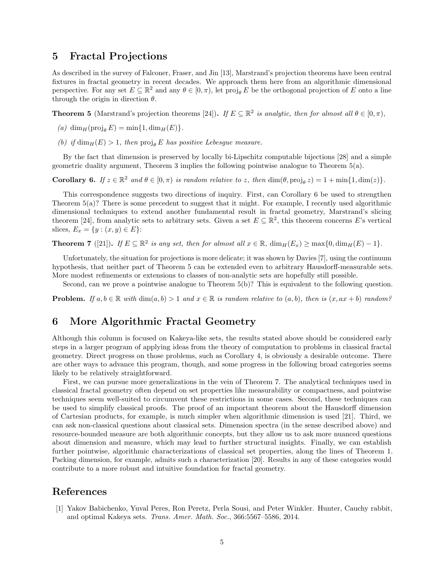### 5 Fractal Projections

As described in the survey of Falconer, Fraser, and Jin [13], Marstrand's projection theorems have been central fixtures in fractal geometry in recent decades. We approach them here from an algorithmic dimensional perspective. For any set  $E \subseteq \mathbb{R}^2$  and any  $\theta \in [0, \pi)$ , let  $\text{proj}_{\theta} E$  be the orthogonal projection of E onto a line through the origin in direction  $\theta$ .

**Theorem 5** (Marstrand's projection theorems [24]). If  $E \subseteq \mathbb{R}^2$  is analytic, then for almost all  $\theta \in [0, \pi)$ ,

- (a) dim<sub>H</sub>(proj<sub>θ</sub> E) = min{1, dim<sub>H</sub>(E)}.
- (b) if  $\dim_H(E) > 1$ , then proj<sub>e</sub> E has positive Lebesgue measure.

By the fact that dimension is preserved by locally bi-Lipschitz computable bijections [28] and a simple geometric duality argument, Theorem 3 implies the following pointwise analogue to Theorem 5(a).

**Corollary 6.** If  $z \in \mathbb{R}^2$  and  $\theta \in [0, \pi)$  is random relative to z, then  $\dim(\theta, \text{proj}_\theta z) = 1 + \min\{1, \dim(z)\}.$ 

This correspondence suggests two directions of inquiry. First, can Corollary 6 be used to strengthen Theorem 5(a)? There is some precedent to suggest that it might. For example, I recently used algorithmic dimensional techniques to extend another fundamental result in fractal geometry, Marstrand's slicing theorem [24], from analytic sets to arbitrary sets. Given a set  $E \subseteq \mathbb{R}^2$ , this theorem concerns E's vertical slices,  $E_x = \{y : (x, y) \in E\}$ :

**Theorem 7** ([21]). If  $E \subseteq \mathbb{R}^2$  is any set, then for almost all  $x \in \mathbb{R}$ ,  $\dim_H(E_x) \ge \max\{0, \dim_H(E) - 1\}$ .

Unfortunately, the situation for projections is more delicate; it was shown by Davies [7], using the continuum hypothesis, that neither part of Theorem 5 can be extended even to arbitrary Hausdorff-measurable sets. More modest refinements or extensions to classes of non-analytic sets are hopefully still possible.

Second, can we prove a pointwise analogue to Theorem 5(b)? This is equivalent to the following question.

**Problem.** If  $a, b \in \mathbb{R}$  with  $\dim(a, b) > 1$  and  $x \in \mathbb{R}$  is random relative to  $(a, b)$ , then is  $(x, ax + b)$  random?

## 6 More Algorithmic Fractal Geometry

Although this column is focused on Kakeya-like sets, the results stated above should be considered early steps in a larger program of applying ideas from the theory of computation to problems in classical fractal geometry. Direct progress on those problems, such as Corollary 4, is obviously a desirable outcome. There are other ways to advance this program, though, and some progress in the following broad categories seems likely to be relatively straightforward.

First, we can pursue more generalizations in the vein of Theorem 7. The analytical techniques used in classical fractal geometry often depend on set properties like measurability or compactness, and pointwise techniques seem well-suited to circumvent these restrictions in some cases. Second, these techniques can be used to simplify classical proofs. The proof of an important theorem about the Hausdorff dimension of Cartesian products, for example, is much simpler when algorithmic dimension is used [21]. Third, we can ask non-classical questions about classical sets. Dimension spectra (in the sense described above) and resource-bounded measure are both algorithmic concepts, but they allow us to ask more nuanced questions about dimension and measure, which may lead to further structural insights. Finally, we can establish further pointwise, algorithmic characterizations of classical set properties, along the lines of Theorem 1. Packing dimension, for example, admits such a characterization [20]. Results in any of these categories would contribute to a more robust and intuitive foundation for fractal geometry.

## References

[1] Yakov Babichenko, Yuval Peres, Ron Peretz, Perla Sousi, and Peter Winkler. Hunter, Cauchy rabbit, and optimal Kakeya sets. Trans. Amer. Math. Soc., 366:5567–5586, 2014.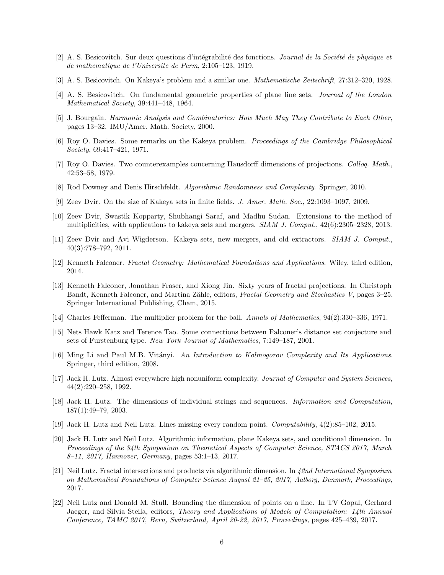- [2] A. S. Besicovitch. Sur deux questions d'intégrabilité des fonctions. Journal de la Société de physique et de mathematique de l'Universite de Perm, 2:105–123, 1919.
- [3] A. S. Besicovitch. On Kakeya's problem and a similar one. Mathematische Zeitschrift, 27:312–320, 1928.
- [4] A. S. Besicovitch. On fundamental geometric properties of plane line sets. Journal of the London Mathematical Society, 39:441–448, 1964.
- [5] J. Bourgain. Harmonic Analysis and Combinatorics: How Much May They Contribute to Each Other, pages 13–32. IMU/Amer. Math. Society, 2000.
- [6] Roy O. Davies. Some remarks on the Kakeya problem. Proceedings of the Cambridge Philosophical Society, 69:417–421, 1971.
- [7] Roy O. Davies. Two counterexamples concerning Hausdorff dimensions of projections. Colloq. Math., 42:53–58, 1979.
- [8] Rod Downey and Denis Hirschfeldt. Algorithmic Randomness and Complexity. Springer, 2010.
- [9] Zeev Dvir. On the size of Kakeya sets in finite fields. J. Amer. Math. Soc., 22:1093–1097, 2009.
- [10] Zeev Dvir, Swastik Kopparty, Shubhangi Saraf, and Madhu Sudan. Extensions to the method of multiplicities, with applications to kakeya sets and mergers. SIAM J. Comput., 42(6):2305–2328, 2013.
- [11] Zeev Dvir and Avi Wigderson. Kakeya sets, new mergers, and old extractors. SIAM J. Comput., 40(3):778–792, 2011.
- [12] Kenneth Falconer. Fractal Geometry: Mathematical Foundations and Applications. Wiley, third edition, 2014.
- [13] Kenneth Falconer, Jonathan Fraser, and Xiong Jin. Sixty years of fractal projections. In Christoph Bandt, Kenneth Falconer, and Martina Zähle, editors, *Fractal Geometry and Stochastics V*, pages 3–25. Springer International Publishing, Cham, 2015.
- [14] Charles Fefferman. The multiplier problem for the ball. Annals of Mathematics, 94(2):330-336, 1971.
- [15] Nets Hawk Katz and Terence Tao. Some connections between Falconer's distance set conjecture and sets of Furstenburg type. New York Journal of Mathematics, 7:149–187, 2001.
- [16] Ming Li and Paul M.B. Vitányi. An Introduction to Kolmogorov Complexity and Its Applications. Springer, third edition, 2008.
- [17] Jack H. Lutz. Almost everywhere high nonuniform complexity. Journal of Computer and System Sciences, 44(2):220–258, 1992.
- [18] Jack H. Lutz. The dimensions of individual strings and sequences. Information and Computation, 187(1):49–79, 2003.
- [19] Jack H. Lutz and Neil Lutz. Lines missing every random point. Computability, 4(2):85–102, 2015.
- [20] Jack H. Lutz and Neil Lutz. Algorithmic information, plane Kakeya sets, and conditional dimension. In Proceedings of the 34th Symposium on Theoretical Aspects of Computer Science, STACS 2017, March 8–11, 2017, Hannover, Germany, pages 53:1–13, 2017.
- [21] Neil Lutz. Fractal intersections and products via algorithmic dimension. In 42nd International Symposium on Mathematical Foundations of Computer Science August 21–25, 2017, Aalborg, Denmark, Proceedings, 2017.
- [22] Neil Lutz and Donald M. Stull. Bounding the dimension of points on a line. In TV Gopal, Gerhard Jaeger, and Silvia Steila, editors, Theory and Applications of Models of Computation: 14th Annual Conference, TAMC 2017, Bern, Switzerland, April 20-22, 2017, Proceedings, pages 425–439, 2017.